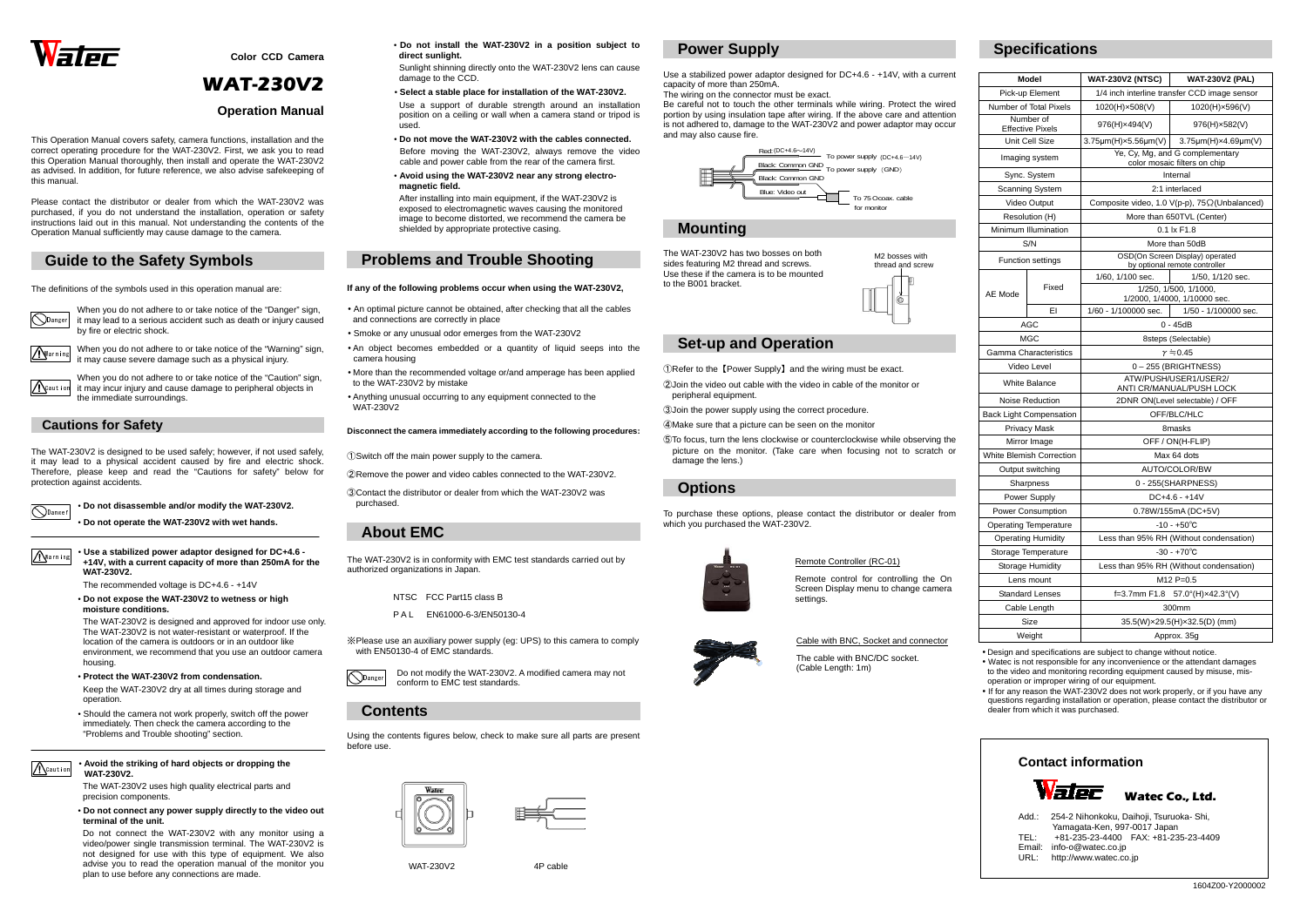

• Design and specifications are subject to change without notice.

 • Watec is not responsible for any inconvenience or the attendant damages to the video and monitoring recording equipment caused by misuse, misoperation or improper wiring of our equipment.

 • If for any reason the WAT-230V2 does not work properly, or if you have any questions regarding installation or operation, please contact the distributor or dealer from which it was purchased.



**Color CCD Camera** 

# WAT-230V2

#### **Operation Manual**

This Operation Manual covers safety, camera functions, installation and the correct operating procedure for the WAT-230V2. First, we ask you to read this Operation Manual thoroughly, then install and operate the WAT-230V2 as advised. In addition, for future reference, we also advise safekeeping of this manual.

> When you do not adhere to or take notice of the "Warning" sign. it may cause severe damage such as a physical injury.

When you do not adhere to or take notice of the "Caution" sign, it may incur injury and cause damage to peripheral objects in the immediate surroundings. **A**Caution

Danger

Please contact the distributor or dealer from which the WAT-230V2 was purchased, if you do not understand the installation, operation or safety instructions laid out in this manual. Not understanding the contents of the Operation Manual sufficiently may cause damage to the camera.

### **Guide to the Safety Symbols**

The definitions of the symbols used in this operation manual are:

- **Protect the WAT-230V2 from condensation.**  Keep the WAT-230V2 dry at all times during storage and operation.
- Should the camera not work properly, switch off the power immediately. Then check the camera according to the "Problems and Trouble shooting" section.
- $\mathcal{N}$ Caution

When you do not adhere to or take notice of the "Danger" sign, it may lead to a serious accident such as death or injury caused by fire or electric shock.

**Marning** 

#### **Cautions for Safety**

The WAT-230V2 is designed to be used safely; however, if not used safely, it may lead to a physical accident caused by fire and electric shock. Therefore, please keep and read the "Cautions for safety" below for protection against accidents.

• **Do not disassemble and/or modify the WAT-230V2.** 

• **Do not operate the WAT-230V2 with wet hands.**

#### • **Use a stabilized power adaptor designed for DC+4.6 - +14V, with a current capacity of more than 250mA for the WAT-230V2.**

The recommended voltage is DC+4.6 - +14V

 • **Do not expose the WAT-230V2 to wetness or high moisture conditions.** 

The WAT-230V2 is designed and approved for indoor use only. The WAT-230V2 is not water-resistant or waterproof. If the location of the camera is outdoors or in an outdoor like environment, we recommend that you use an outdoor camera housing.

 $\widehat{\bigcirc}$ Danger Do not modify the WAT-230V2. A modified camera may not conform to EMC test standards.

#### • **Avoid the striking of hard objects or dropping the WAT-230V2.**

 The WAT-230V2 uses high quality electrical parts and precision components.

 • **Do not connect any power supply directly to the video out terminal of the unit.**

Do not connect the WAT-230V2 with any monitor using a video/power single transmission terminal. The WAT-230V2 is not designed for use with this type of equipment. We also advise you to read the operation manual of the monitor you plan to use before any connections are made.

• **Do not install the WAT-230V2 in a position subject to direct sunlight.** 

Sunlight shinning directly onto the WAT-230V2 lens can cause damage to the CCD.

• **Select a stable place for installation of the WAT-230V2.** 

Use a support of durable strength around an installation position on a ceiling or wall when a camera stand or tripod is used.

- **Do not move the WAT-230V2 with the cables connected.** Before moving the WAT-230V2, always remove the video cable and power cable from the rear of the camera first.
- **Avoid using the WAT-230V2 near any strong electromagnetic field.**

After installing into main equipment, if the WAT-230V2 is exposed to electromagnetic waves causing the monitored image to become distorted, we recommend the camera be shielded by appropriate protective casing.

# **Problems and Trouble Shooting**

#### **If any of the following problems occur when using the WAT-230V2,**

- An optimal picture cannot be obtained, after checking that all the cables and connections are correctly in place
- Smoke or any unusual odor emerges from the WAT-230V2
- An object becomes embedded or a quantity of liquid seeps into the camera housing
- More than the recommended voltage or/and amperage has been applied to the WAT-230V2 by mistake
- Anything unusual occurring to any equipment connected to the WAT-230V2

#### **Disconnect the camera immediately according to the following procedures:**

①Switch off the main power supply to the camera.

②Remove the power and video cables connected to the WAT-230V2.

 ③Contact the distributor or dealer from which the WAT-230V2 was purchased.

# **About EMC**

The WAT-230V2 is in conformity with EMC test standards carried out by authorized organizations in Japan.

- NTSC FCC Part15 class B
- P A L EN61000-6-3/EN50130-4

※Please use an auxiliary power supply (eg: UPS) to this camera to comply with EN50130-4 of EMC standards.

### **Contents**

Using the contents figures below, check to make sure all parts are present before use.





WAT-230V2 4P cable

### **Power Supply**

Use a stabilized power adaptor designed for DC+4.6 - +14V, with a current capacity of more than 250mA.

The wiring on the connector must be exact.

 Be careful not to touch the other terminals while wiring. Protect the wired portion by using insulation tape after wiring. If the above care and attention is not adhered to, damage to the WAT-230V2 and power adaptor may occur and may also cause fire.

#### **Mounting**

The WAT-230V2 has two bosses on both sides featuring M2 thread and screws. Use these if the camera is to be mounted to the B001 bracket.

### **Set-up and Operation**

①Refer to the 【Power Supply】 and the wiring must be exact.

- ②Join the video out cable with the video in cable of the monitor or peripheral equipment.
- ③Join the power supply using the correct procedure.
- ④Make sure that a picture can be seen on the monitor
- ⑤To focus, turn the lens clockwise or counterclockwise while observing the picture on the monitor. (Take care when focusing not to scratch or damage the lens.)

# **Options**

To purchase these options, please contact the distributor or dealer from which you purchased the WAT-230V2.



# **Specifications**



| <b>Model</b>                  |       | <b>WAT-230V2 (NTSC)</b>                                          | <b>WAT-230V2 (PAL)</b> |
|-------------------------------|-------|------------------------------------------------------------------|------------------------|
| Pick-up Element               |       | 1/4 inch interline transfer CCD image sensor                     |                        |
| Number of Total Pixels        |       | 1020(H)×508(V)                                                   | 1020(H)×596(V)         |
| Number of<br>Effective Pixels |       | 976(H)×494(V)                                                    | 976(H)×582(V)          |
| Unit Cell Size                |       | $3.75 \mu m(H)x5.56 \mu m(V)$                                    | 3.75µm(H)×4.69µm(V)    |
| Imaging system                |       | Ye, Cy, Mg, and G complementary<br>color mosaic filters on chip  |                        |
| Sync. System                  |       | Internal                                                         |                        |
| <b>Scanning System</b>        |       | 2:1 interlaced                                                   |                        |
| Video Output                  |       | Composite video, 1.0 V(p-p), 75 $\Omega$ (Unbalanced)            |                        |
| Resolution (H)                |       | More than 650TVL (Center)                                        |                        |
| Minimum Illumination          |       | 0.1 lx F1.8                                                      |                        |
| S/N                           |       | More than 50dB                                                   |                        |
| Function settings             |       | OSD(On Screen Display) operated<br>by optional remote controller |                        |
| AE Mode                       | Fixed | 1/60, 1/100 sec.                                                 | 1/50, 1/120 sec.       |
|                               |       | 1/250, 1/500, 1/1000,<br>1/2000, 1/4000, 1/10000 sec.            |                        |
|                               | EI    | 1/60 - 1/100000 sec.                                             | 1/50 - 1/100000 sec.   |
| AGC                           |       | $0 - 45dB$                                                       |                        |
| MGC                           |       | 8steps (Selectable)                                              |                        |
| <b>Gamma Characteristics</b>  |       | $r = 0.45$                                                       |                        |
| Video Level                   |       | 0-255 (BRIGHTNESS)                                               |                        |
| <b>White Balance</b>          |       | ATW/PUSH/USER1/USER2/<br>ANTI CR/MANUAL/PUSH LOCK                |                        |
| Noise Reduction               |       | 2DNR ON(Level selectable) / OFF                                  |                        |
| Back Light Compensation       |       | OFF/BLC/HLC                                                      |                        |
| <b>Privacy Mask</b>           |       | 8masks                                                           |                        |
| Mirror Image                  |       | OFF / ON(H-FLIP)                                                 |                        |
| White Blemish Correction      |       | Max 64 dots                                                      |                        |
| Output switching              |       | AUTO/COLOR/BW                                                    |                        |
| Sharpness                     |       | 0 - 255(SHARPNESS)                                               |                        |
| Power Supply                  |       | $DC+4.6 - +14V$                                                  |                        |
| <b>Power Consumption</b>      |       | 0.78W/155mA (DC+5V)                                              |                        |
| <b>Operating Temperature</b>  |       | $-10 - +50^{\circ}C$                                             |                        |
| <b>Operating Humidity</b>     |       | Less than 95% RH (Without condensation)                          |                        |
| Storage Temperature           |       | $-30 - +70^{\circ}C$                                             |                        |
| Storage Humidity              |       | Less than 95% RH (Without condensation)                          |                        |
| Lens mount                    |       | $M12 P=0.5$                                                      |                        |
| <b>Standard Lenses</b>        |       | f=3.7mm F1.8<br>$57.0^{\circ}$ (H) $\times$ 42.3°(V)             |                        |
| Cable Length                  |       | 300mm                                                            |                        |
|                               | Size  | 35.5(W)×29.5(H)×32.5(D) (mm)                                     |                        |
| Weight                        |       | Approx. 35g                                                      |                        |

Warning



Remote Controller (RC-01)

Remote control for controlling the On Screen Display menu to change camera settings.

Cable with BNC, Socket and connector

The cable with BNC/DC socket. (Cable Length: 1m)